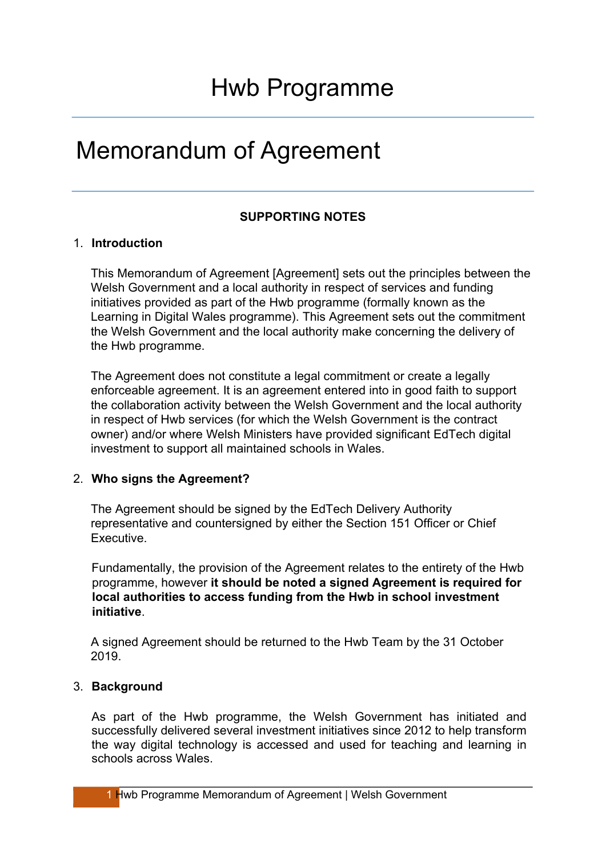## Memorandum of Agreement

#### **SUPPORTING NOTES**

#### 1. **Introduction**

This Memorandum of Agreement [Agreement] sets out the principles between the Welsh Government and a local authority in respect of services and funding initiatives provided as part of the Hwb programme (formally known as the Learning in Digital Wales programme). This Agreement sets out the commitment the Welsh Government and the local authority make concerning the delivery of the Hwb programme.

The Agreement does not constitute a legal commitment or create a legally enforceable agreement. It is an agreement entered into in good faith to support the collaboration activity between the Welsh Government and the local authority in respect of Hwb services (for which the Welsh Government is the contract owner) and/or where Welsh Ministers have provided significant EdTech digital investment to support all maintained schools in Wales.

#### 2. **Who signs the Agreement?**

The Agreement should be signed by the EdTech Delivery Authority representative and countersigned by either the Section 151 Officer or Chief Executive.

Fundamentally, the provision of the Agreement relates to the entirety of the Hwb programme, however **it should be noted a signed Agreement is required for local authorities to access funding from the Hwb in school investment initiative**.

A signed Agreement should be returned to the Hwb Team by the 31 October 2019.

#### 3. **Background**

As part of the Hwb programme, the Welsh Government has initiated and successfully delivered several investment initiatives since 2012 to help transform the way digital technology is accessed and used for teaching and learning in schools across Wales.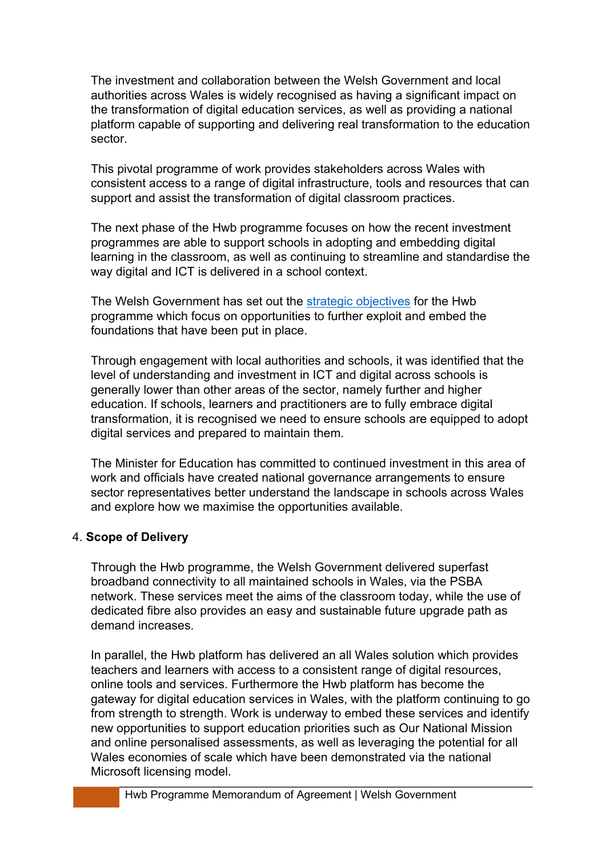The investment and collaboration between the Welsh Government and local authorities across Wales is widely recognised as having a significant impact on the transformation of digital education services, as well as providing a national platform capable of supporting and delivering real transformation to the education sector.

This pivotal programme of work provides stakeholders across Wales with consistent access to a range of digital infrastructure, tools and resources that can support and assist the transformation of digital classroom practices.

The next phase of the Hwb programme focuses on how the recent investment programmes are able to support schools in adopting and embedding digital learning in the classroom, as well as continuing to streamline and standardise the way digital and ICT is delivered in a school context.

The Welsh Government has set out the strategic [objectives](https://hwb.gov.wales/overview-of-hwb/) for the Hwb programme which focus on opportunities to further exploit and embed the foundations that have been put in place.

Through engagement with local authorities and schools, it was identified that the level of understanding and investment in ICT and digital across schools is generally lower than other areas of the sector, namely further and higher education. If schools, learners and practitioners are to fully embrace digital transformation, it is recognised we need to ensure schools are equipped to adopt digital services and prepared to maintain them.

The Minister for Education has committed to continued investment in this area of work and officials have created national governance arrangements to ensure sector representatives better understand the landscape in schools across Wales and explore how we maximise the opportunities available.

#### 4. **Scope of Delivery**

Through the Hwb programme, the Welsh Government delivered superfast broadband connectivity to all maintained schools in Wales, via the PSBA network. These services meet the aims of the classroom today, while the use of dedicated fibre also provides an easy and sustainable future upgrade path as demand increases.

In parallel, the Hwb platform has delivered an all Wales solution which provides teachers and learners with access to a consistent range of digital resources, online tools and services. Furthermore the Hwb platform has become the gateway for digital education services in Wales, with the platform continuing to go from strength to strength. Work is underway to embed these services and identify new opportunities to support education priorities such as Our National Mission and online personalised assessments, as well as leveraging the potential for all Wales economies of scale which have been demonstrated via the national Microsoft licensing model.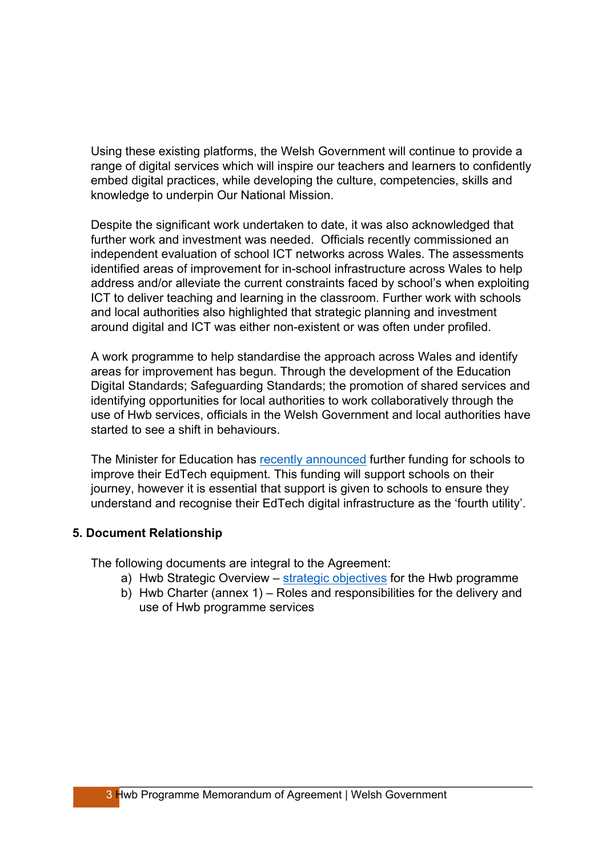Using these existing platforms, the Welsh Government will continue to provide a range of digital services which will inspire our teachers and learners to confidently embed digital practices, while developing the culture, competencies, skills and knowledge to underpin Our National Mission.

Despite the significant work undertaken to date, it was also acknowledged that further work and investment was needed. Officials recently commissioned an independent evaluation of school ICT networks across Wales. The assessments identified areas of improvement for in-school infrastructure across Wales to help address and/or alleviate the current constraints faced by school's when exploiting ICT to deliver teaching and learning in the classroom. Further work with schools and local authorities also highlighted that strategic planning and investment around digital and ICT was either non-existent or was often under profiled.

A work programme to help standardise the approach across Wales and identify areas for improvement has begun. Through the development of the Education Digital Standards; Safeguarding Standards; the promotion of shared services and identifying opportunities for local authorities to work collaboratively through the use of Hwb services, officials in the Welsh Government and local authorities have started to see a shift in behaviours.

The Minister for Education has recently [announced](https://gov.wales/computer-says-yes-new-ps50-million-investment-transform-edtech-within-all-welsh-state-schools) further funding for schools to improve their EdTech equipment. This funding will support schools on their journey, however it is essential that support is given to schools to ensure they understand and recognise their EdTech digital infrastructure as the 'fourth utility'.

#### **5. Document Relationship**

The following documents are integral to the Agreement:

- a) Hwb Strategic Overview strategic [objectives](https://hwb.gov.wales/overview-of-hwb/) for the Hwb programme
- b) Hwb Charter (annex 1) Roles and responsibilities for the delivery and use of Hwb programme services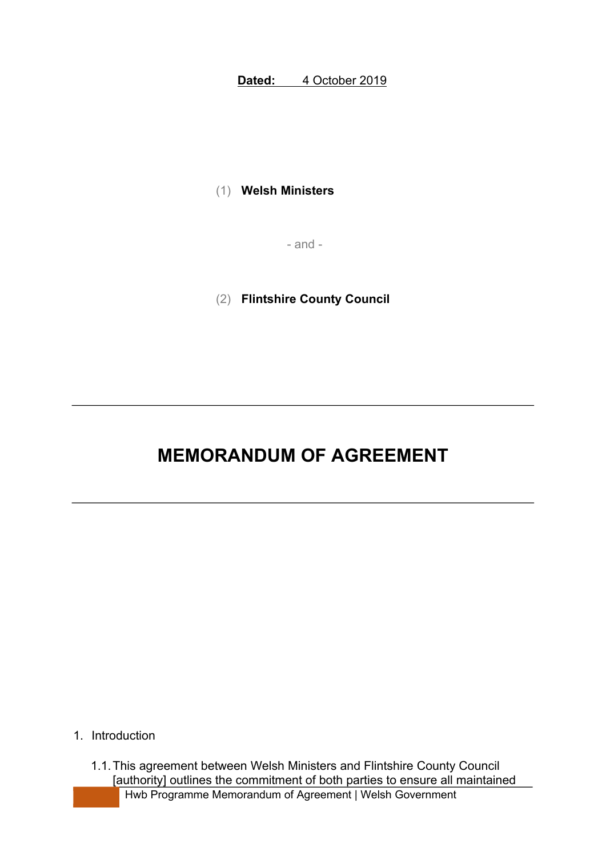**Dated:** 4 October 2019

(1) **Welsh Ministers**

- and -

(2) **Flintshire County Council**

### **MEMORANDUM OF AGREEMENT**

- 1. Introduction
	- Hwb Programme Memorandum of Agreement | Welsh Government 1.1.This agreement between Welsh Ministers and Flintshire County Council [authority] outlines the commitment of both parties to ensure all maintained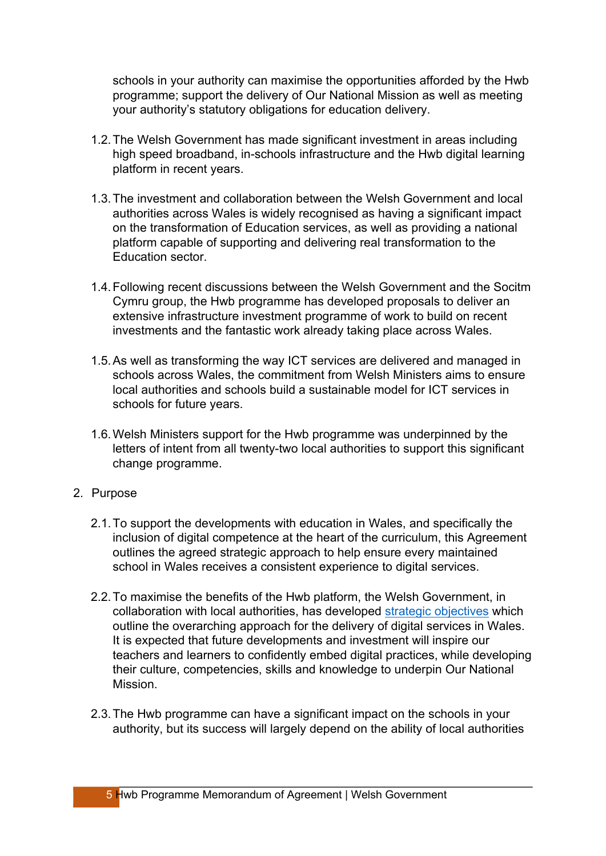schools in your authority can maximise the opportunities afforded by the Hwb programme; support the delivery of Our National Mission as well as meeting your authority's statutory obligations for education delivery.

- 1.2.The Welsh Government has made significant investment in areas including high speed broadband, in-schools infrastructure and the Hwb digital learning platform in recent years.
- 1.3.The investment and collaboration between the Welsh Government and local authorities across Wales is widely recognised as having a significant impact on the transformation of Education services, as well as providing a national platform capable of supporting and delivering real transformation to the Education sector.
- 1.4.Following recent discussions between the Welsh Government and the Socitm Cymru group, the Hwb programme has developed proposals to deliver an extensive infrastructure investment programme of work to build on recent investments and the fantastic work already taking place across Wales.
- 1.5.As well as transforming the way ICT services are delivered and managed in schools across Wales, the commitment from Welsh Ministers aims to ensure local authorities and schools build a sustainable model for ICT services in schools for future years.
- 1.6.Welsh Ministers support for the Hwb programme was underpinned by the letters of intent from all twenty-two local authorities to support this significant change programme.
- 2. Purpose
	- 2.1.To support the developments with education in Wales, and specifically the inclusion of digital competence at the heart of the curriculum, this Agreement outlines the agreed strategic approach to help ensure every maintained school in Wales receives a consistent experience to digital services.
	- 2.2.To maximise the benefits of the Hwb platform, the Welsh Government, in collaboration with local authorities, has developed strategic [objectives](https://hwb.gov.wales/overview-of-hwb/) which outline the overarching approach for the delivery of digital services in Wales. It is expected that future developments and investment will inspire our teachers and learners to confidently embed digital practices, while developing their culture, competencies, skills and knowledge to underpin Our National Mission.
	- 2.3.The Hwb programme can have a significant impact on the schools in your authority, but its success will largely depend on the ability of local authorities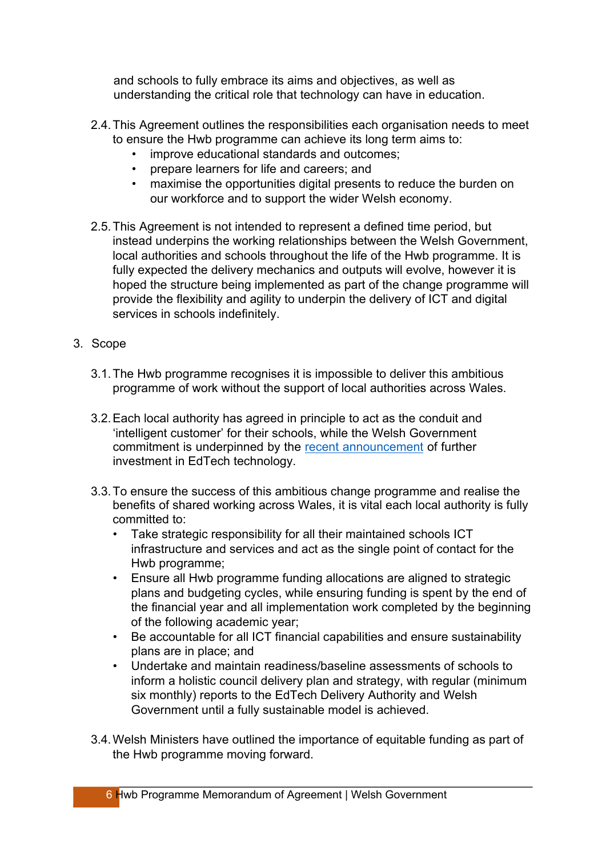and schools to fully embrace its aims and objectives, as well as understanding the critical role that technology can have in education.

- 2.4.This Agreement outlines the responsibilities each organisation needs to meet to ensure the Hwb programme can achieve its long term aims to:
	- improve educational standards and outcomes;
	- prepare learners for life and careers; and
	- maximise the opportunities digital presents to reduce the burden on our workforce and to support the wider Welsh economy.
- 2.5.This Agreement is not intended to represent a defined time period, but instead underpins the working relationships between the Welsh Government, local authorities and schools throughout the life of the Hwb programme. It is fully expected the delivery mechanics and outputs will evolve, however it is hoped the structure being implemented as part of the change programme will provide the flexibility and agility to underpin the delivery of ICT and digital services in schools indefinitely.
- 3. Scope
	- 3.1.The Hwb programme recognises it is impossible to deliver this ambitious programme of work without the support of local authorities across Wales.
	- 3.2.Each local authority has agreed in principle to act as the conduit and 'intelligent customer' for their schools, while the Welsh Government commitment is underpinned by the recent [announcement](https://gov.wales/computer-says-yes-new-ps50-million-investment-transform-edtech-within-all-welsh-state-schools) of further investment in EdTech technology.
	- 3.3.To ensure the success of this ambitious change programme and realise the benefits of shared working across Wales, it is vital each local authority is fully committed to:
		- Take strategic responsibility for all their maintained schools ICT infrastructure and services and act as the single point of contact for the Hwb programme;
		- Ensure all Hwb programme funding allocations are aligned to strategic plans and budgeting cycles, while ensuring funding is spent by the end of the financial year and all implementation work completed by the beginning of the following academic year;
		- Be accountable for all ICT financial capabilities and ensure sustainability plans are in place; and
		- Undertake and maintain readiness/baseline assessments of schools to inform a holistic council delivery plan and strategy, with regular (minimum six monthly) reports to the EdTech Delivery Authority and Welsh Government until a fully sustainable model is achieved.
	- 3.4.Welsh Ministers have outlined the importance of equitable funding as part of the Hwb programme moving forward.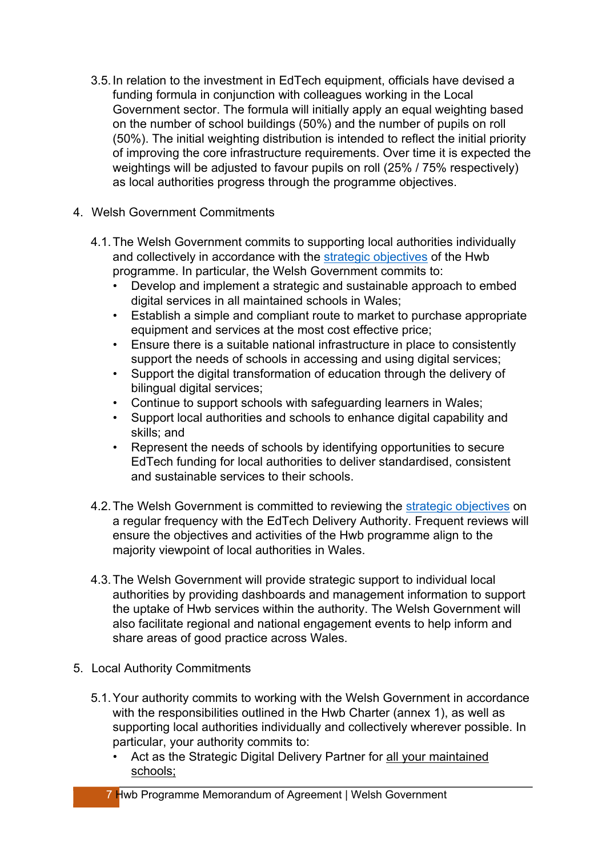- 3.5.In relation to the investment in EdTech equipment, officials have devised a funding formula in conjunction with colleagues working in the Local Government sector. The formula will initially apply an equal weighting based on the number of school buildings (50%) and the number of pupils on roll (50%). The initial weighting distribution is intended to reflect the initial priority of improving the core infrastructure requirements. Over time it is expected the weightings will be adjusted to favour pupils on roll (25% / 75% respectively) as local authorities progress through the programme objectives.
- 4. Welsh Government Commitments
	- 4.1.The Welsh Government commits to supporting local authorities individually and collectively in accordance with the strategic [objectives](https://hwb.gov.wales/overview-of-hwb/) of the Hwb programme. In particular, the Welsh Government commits to:
		- Develop and implement a strategic and sustainable approach to embed digital services in all maintained schools in Wales;
		- Establish a simple and compliant route to market to purchase appropriate equipment and services at the most cost effective price;
		- Ensure there is a suitable national infrastructure in place to consistently support the needs of schools in accessing and using digital services;
		- Support the digital transformation of education through the delivery of bilingual digital services;
		- Continue to support schools with safeguarding learners in Wales;
		- Support local authorities and schools to enhance digital capability and skills; and
		- Represent the needs of schools by identifying opportunities to secure EdTech funding for local authorities to deliver standardised, consistent and sustainable services to their schools.
	- 4.2. The Welsh Government is committed to reviewing the strategic [objectives](https://hwb.gov.wales/overview-of-hwb/) on a regular frequency with the EdTech Delivery Authority. Frequent reviews will ensure the objectives and activities of the Hwb programme align to the majority viewpoint of local authorities in Wales.
	- 4.3.The Welsh Government will provide strategic support to individual local authorities by providing dashboards and management information to support the uptake of Hwb services within the authority. The Welsh Government will also facilitate regional and national engagement events to help inform and share areas of good practice across Wales.
- 5. Local Authority Commitments
	- 5.1.Your authority commits to working with the Welsh Government in accordance with the responsibilities outlined in the Hwb Charter (annex 1), as well as supporting local authorities individually and collectively wherever possible. In particular, your authority commits to:
		- Act as the Strategic Digital Delivery Partner for all your maintained schools;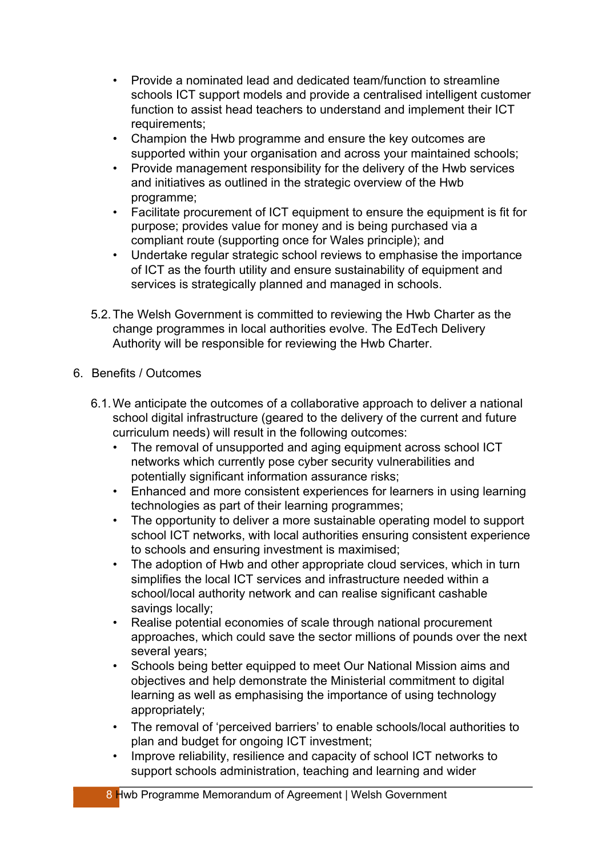- Provide a nominated lead and dedicated team/function to streamline schools ICT support models and provide a centralised intelligent customer function to assist head teachers to understand and implement their ICT requirements;
- Champion the Hwb programme and ensure the key outcomes are supported within your organisation and across your maintained schools;
- Provide management responsibility for the delivery of the Hwb services and initiatives as outlined in the strategic overview of the Hwb programme;
- Facilitate procurement of ICT equipment to ensure the equipment is fit for purpose; provides value for money and is being purchased via a compliant route (supporting once for Wales principle); and
- Undertake regular strategic school reviews to emphasise the importance of ICT as the fourth utility and ensure sustainability of equipment and services is strategically planned and managed in schools.
- 5.2.The Welsh Government is committed to reviewing the Hwb Charter as the change programmes in local authorities evolve. The EdTech Delivery Authority will be responsible for reviewing the Hwb Charter.

#### 6. Benefits / Outcomes

- 6.1.We anticipate the outcomes of a collaborative approach to deliver a national school digital infrastructure (geared to the delivery of the current and future curriculum needs) will result in the following outcomes:
	- The removal of unsupported and aging equipment across school ICT networks which currently pose cyber security vulnerabilities and potentially significant information assurance risks;
	- Enhanced and more consistent experiences for learners in using learning technologies as part of their learning programmes;
	- The opportunity to deliver a more sustainable operating model to support school ICT networks, with local authorities ensuring consistent experience to schools and ensuring investment is maximised;
	- The adoption of Hwb and other appropriate cloud services, which in turn simplifies the local ICT services and infrastructure needed within a school/local authority network and can realise significant cashable savings locally;
	- Realise potential economies of scale through national procurement approaches, which could save the sector millions of pounds over the next several years;
	- Schools being better equipped to meet Our National Mission aims and objectives and help demonstrate the Ministerial commitment to digital learning as well as emphasising the importance of using technology appropriately;
	- The removal of 'perceived barriers' to enable schools/local authorities to plan and budget for ongoing ICT investment;
	- Improve reliability, resilience and capacity of school ICT networks to support schools administration, teaching and learning and wider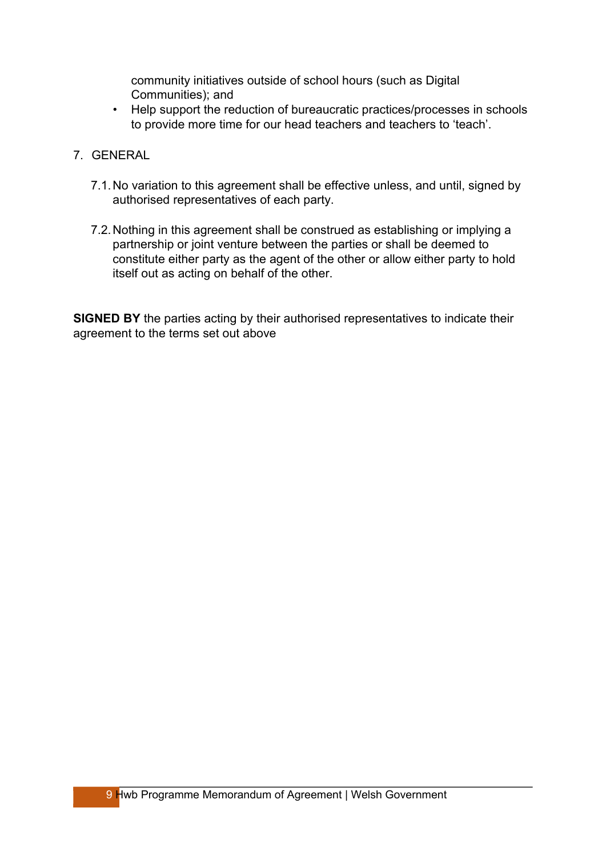community initiatives outside of school hours (such as Digital Communities); and

- Help support the reduction of bureaucratic practices/processes in schools to provide more time for our head teachers and teachers to 'teach'.
- 7. GENERAL
	- 7.1.No variation to this agreement shall be effective unless, and until, signed by authorised representatives of each party.
	- 7.2.Nothing in this agreement shall be construed as establishing or implying a partnership or joint venture between the parties or shall be deemed to constitute either party as the agent of the other or allow either party to hold itself out as acting on behalf of the other.

**SIGNED BY** the parties acting by their authorised representatives to indicate their agreement to the terms set out above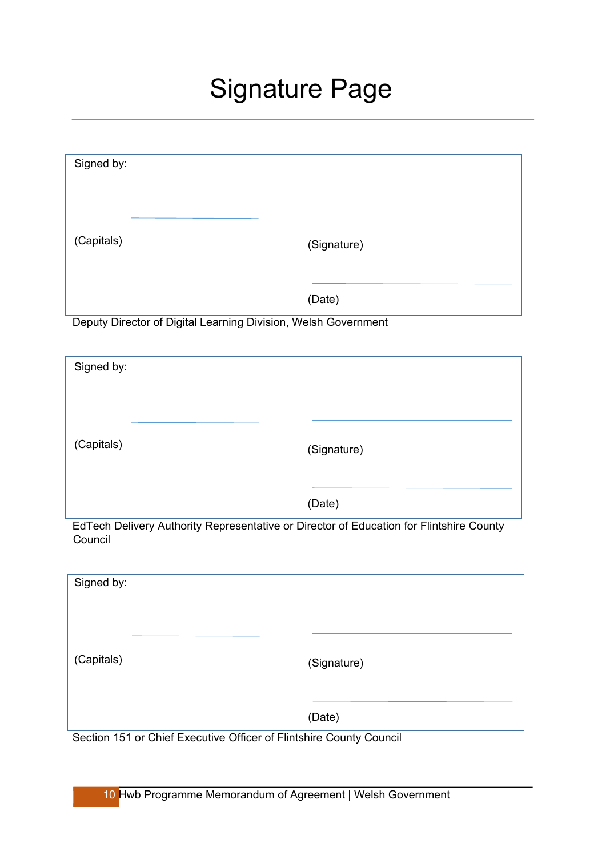# Signature Page

| Signed by: |             |
|------------|-------------|
|            |             |
| (Capitals) | (Signature) |
|            | (Date)      |

Deputy Director of Digital Learning Division, Welsh Government

| Signed by:                                                                              |             |
|-----------------------------------------------------------------------------------------|-------------|
|                                                                                         |             |
|                                                                                         |             |
| (Capitals)                                                                              |             |
|                                                                                         | (Signature) |
|                                                                                         |             |
|                                                                                         | (Date)      |
| EdTech Delivery Authority Representative or Director of Education for Elintshire County |             |

EdTech Delivery Authority Representative or Director of Education for Flintshire County Council

| Signed by:                                                                  |             |
|-----------------------------------------------------------------------------|-------------|
| (Capitals)                                                                  | (Signature) |
| $- - -$<br>--- --<br>$\sim$ $\sim$ $\sim$<br>$\sim$ $\sim$<br>$\sim$ $\sim$ | (Date)      |

Section 151 or Chief Executive Officer of Flintshire County Council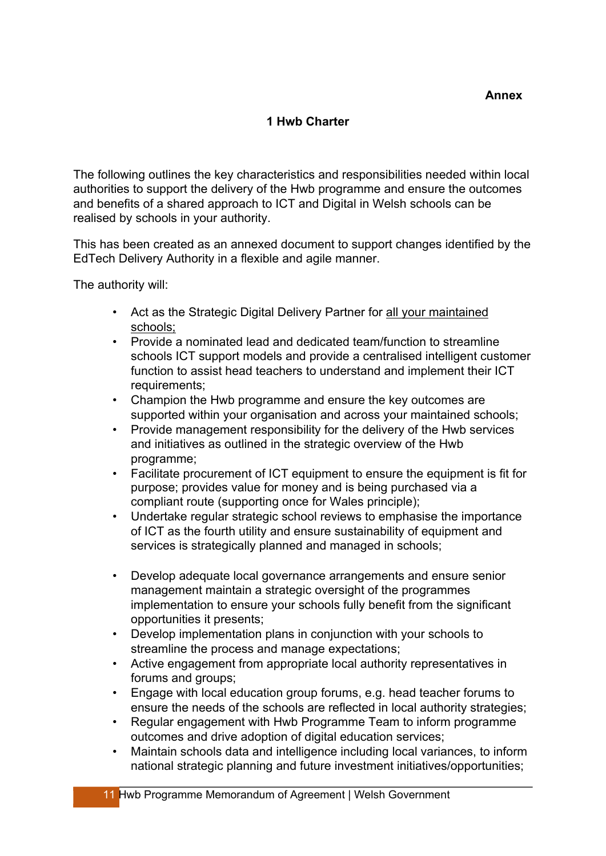#### **1 Hwb Charter**

The following outlines the key characteristics and responsibilities needed within local authorities to support the delivery of the Hwb programme and ensure the outcomes and benefits of a shared approach to ICT and Digital in Welsh schools can be realised by schools in your authority.

This has been created as an annexed document to support changes identified by the EdTech Delivery Authority in a flexible and agile manner.

The authority will:

- Act as the Strategic Digital Delivery Partner for all your maintained schools;
- Provide a nominated lead and dedicated team/function to streamline schools ICT support models and provide a centralised intelligent customer function to assist head teachers to understand and implement their ICT requirements;
- Champion the Hwb programme and ensure the key outcomes are supported within your organisation and across your maintained schools;
- Provide management responsibility for the delivery of the Hwb services and initiatives as outlined in the strategic overview of the Hwb programme;
- Facilitate procurement of ICT equipment to ensure the equipment is fit for purpose; provides value for money and is being purchased via a compliant route (supporting once for Wales principle);
- Undertake regular strategic school reviews to emphasise the importance of ICT as the fourth utility and ensure sustainability of equipment and services is strategically planned and managed in schools;
- Develop adequate local governance arrangements and ensure senior management maintain a strategic oversight of the programmes implementation to ensure your schools fully benefit from the significant opportunities it presents;
- Develop implementation plans in conjunction with your schools to streamline the process and manage expectations;
- Active engagement from appropriate local authority representatives in forums and groups;
- Engage with local education group forums, e.g. head teacher forums to ensure the needs of the schools are reflected in local authority strategies;
- Regular engagement with Hwb Programme Team to inform programme outcomes and drive adoption of digital education services;
- Maintain schools data and intelligence including local variances, to inform national strategic planning and future investment initiatives/opportunities;